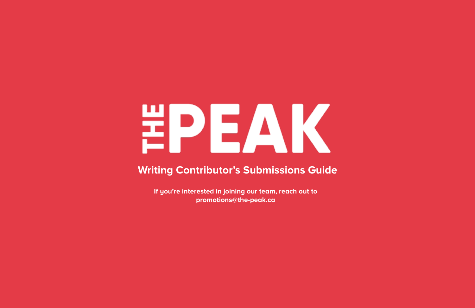# EPEAK

# **Writing Contributor's Submissions Guide**

**If you're interested in joining our team, reach out to promotions@the-peak.ca**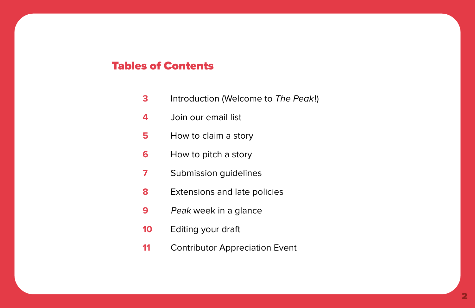# Tables of Contents

- Introduction (Welcome to *The Peak*!)
- Join our email list
- How to claim a story
- How to pitch a story
- Submission guidelines
- Extensions and late policies
- Peak week in a glance
- Editing your draft
- Contributor Appreciation Event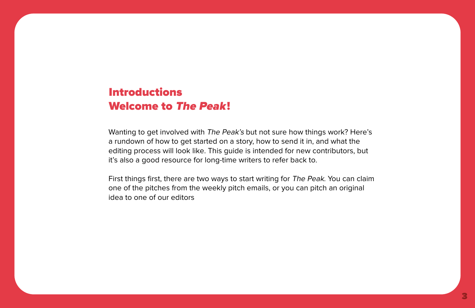# Introductions Welcome to The Peak!

Wanting to get involved with The Peak's but not sure how things work? Here's a rundown of how to get started on a story, how to send it in, and what the editing process will look like. This guide is intended for new contributors, but it's also a good resource for long-time writers to refer back to.

First things first, there are two ways to start writing for The Peak. You can claim one of the pitches from the weekly pitch emails, or you can pitch an original idea to one of our editors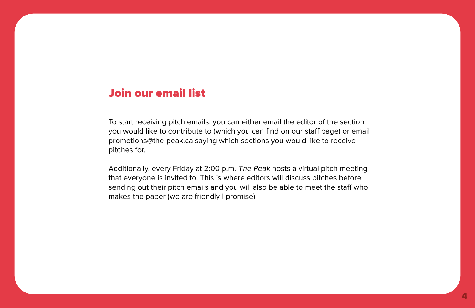# Join our email list

To start receiving pitch emails, you can either email the editor of the section you would like to contribute to (which you can find on our staff page) or email promotions@the-peak.ca saying which sections you would like to receive pitches for.

Additionally, every Friday at 2:00 p.m. The Peak hosts a virtual pitch meeting that everyone is invited to. This is where editors will discuss pitches before sending out their pitch emails and you will also be able to meet the staff who makes the paper (we are friendly I promise)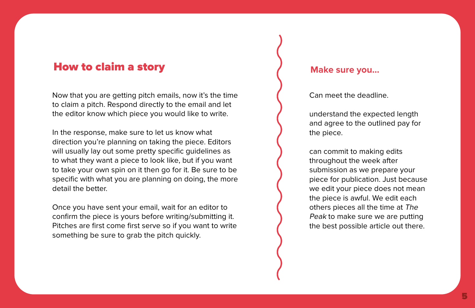## How to claim a story

Now that you are getting pitch emails, now it's the time to claim a pitch. Respond directly to the email and let the editor know which piece you would like to write.

In the response, make sure to let us know what direction you're planning on taking the piece. Editors will usually lay out some pretty specific guidelines as to what they want a piece to look like, but if you want to take your own spin on it then go for it. Be sure to be specific with what you are planning on doing, the more detail the better.

Once you have sent your email, wait for an editor to confirm the piece is yours before writing/submitting it. Pitches are first come first serve so if you want to write something be sure to grab the pitch quickly.

#### **Make sure you…**

Can meet the deadline.

understand the expected length and agree to the outlined pay for the piece.

can commit to making edits throughout the week after submission as we prepare your piece for publication. Just because we edit your piece does not mean the piece is awful. We edit each others pieces all the time at The Peak to make sure we are putting the best possible article out there.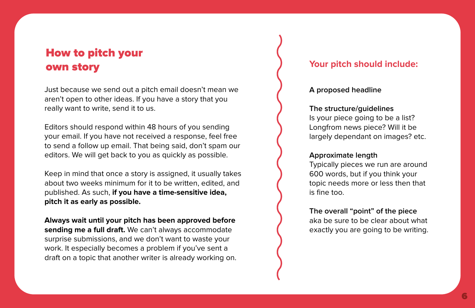# How to pitch your own story

Just because we send out a pitch email doesn't mean we aren't open to other ideas. If you have a story that you really want to write, send it to us.

Editors should respond within 48 hours of you sending your email. If you have not received a response, feel free to send a follow up email. That being said, don't spam our editors. We will get back to you as quickly as possible.

Keep in mind that once a story is assigned, it usually takes about two weeks minimum for it to be written, edited, and published. As such, **if you have a time-sensitive idea, pitch it as early as possible.**

**Always wait until your pitch has been approved before sending me a full draft.** We can't always accommodate surprise submissions, and we don't want to waste your work. It especially becomes a problem if you've sent a draft on a topic that another writer is already working on.

#### **Your pitch should include:**

#### **A proposed headline**

#### **The structure/guidelines**

Is your piece going to be a list? Longfrom news piece? Will it be largely dependant on images? etc.

#### **Approximate length**

Typically pieces we run are around 600 words, but if you think your topic needs more or less then that is fine too.

**The overall "point" of the piece**  aka be sure to be clear about what exactly you are going to be writing.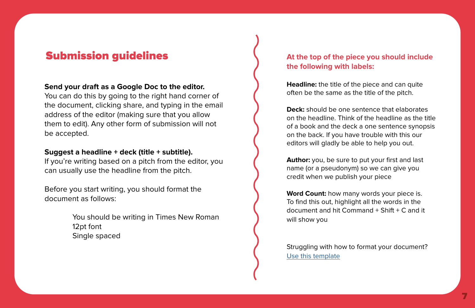# **Submission guidelines**  $\left\{\right.$  At the top of the piece you should include

#### **Send your draft as a Google Doc to the editor.**

You can do this by going to the right hand corner of the document, clicking share, and typing in the email address of the editor (making sure that you allow them to edit). Any other form of submission will not be accepted.

#### **Suggest a headline + deck (title + subtitle).**

If you're writing based on a pitch from the editor, you can usually use the headline from the pitch.

Before you start writing, you should format the document as follows:

> You should be writing in Times New Roman 12pt font Single spaced

# **the following with labels:**

**Headline:** the title of the piece and can quite often be the same as the title of the pitch.

**Deck:** should be one sentence that elaborates on the headline. Think of the headline as the title of a book and the deck a one sentence synopsis on the back. If you have trouble with this our editors will gladly be able to help you out.

**Author:** you, be sure to put your first and last name (or a pseudonym) so we can give you credit when we publish your piece

**Word Count:** how many words your piece is. To find this out, highlight all the words in the document and hit Command + Shift + C and it will show you

Struggling with how to format your document? [Use this template](https://docs.google.com/document/d/1fgmdz-iWh7cZKE5hENp8Gcr9pVU2ZGDXiPGqfEiAsdY/edit?usp=sharing)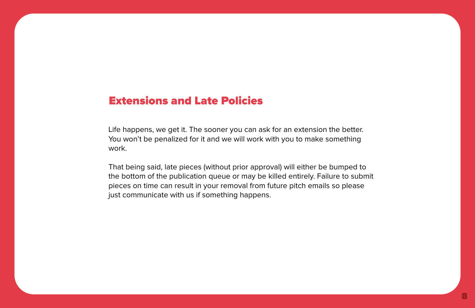# Extensions and Late Policies

Life happens, we get it. The sooner you can ask for an extension the better. You won't be penalized for it and we will work with you to make something work.

That being said, late pieces (without prior approval) will either be bumped to the bottom of the publication queue or may be killed entirely. Failure to submit pieces on time can result in your removal from future pitch emails so please just communicate with us if something happens.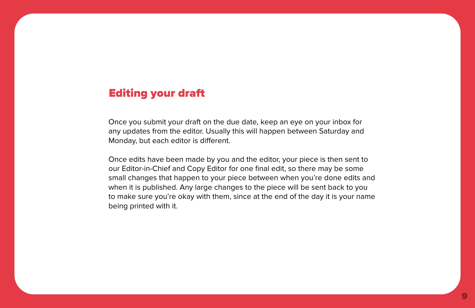# Editing your draft

Once you submit your draft on the due date, keep an eye on your inbox for any updates from the editor. Usually this will happen between Saturday and Monday, but each editor is different.

Once edits have been made by you and the editor, your piece is then sent to our Editor-in-Chief and Copy Editor for one final edit, so there may be some small changes that happen to your piece between when you're done edits and when it is published. Any large changes to the piece will be sent back to you to make sure you're okay with them, since at the end of the day it is your name being printed with it.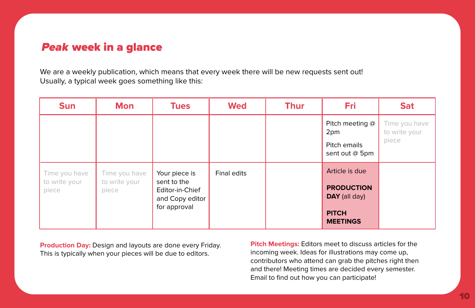# Peak week in a glance

We are a weekly publication, which means that every week there will be new requests sent out! Usually, a typical week goes something like this:

| <b>Sun</b>                              | <b>Mon</b>                              | <b>Tues</b>                                                                        | <b>Wed</b>  | <b>Thur</b> | Fri                                                                                     | <b>Sat</b>                              |
|-----------------------------------------|-----------------------------------------|------------------------------------------------------------------------------------|-------------|-------------|-----------------------------------------------------------------------------------------|-----------------------------------------|
|                                         |                                         |                                                                                    |             |             | Pitch meeting @<br>2pm<br>Pitch emails<br>sent out @ 5pm                                | Time you have<br>to write your<br>piece |
| Time you have<br>to write your<br>piece | Time you have<br>to write your<br>piece | Your piece is<br>sent to the<br>Editor-in-Chief<br>and Copy editor<br>for approval | Final edits |             | Article is due<br><b>PRODUCTION</b><br>DAY (all day)<br><b>PITCH</b><br><b>MEETINGS</b> |                                         |

**Production Day:** Design and layouts are done every Friday. This is typically when your pieces will be due to editors.

**Pitch Meetings:** Editors meet to discuss articles for the incoming week. Ideas for illustrations may come up, contributors who attend can grab the pitches right then and there! Meeting times are decided every semester. Email to find out how you can participate!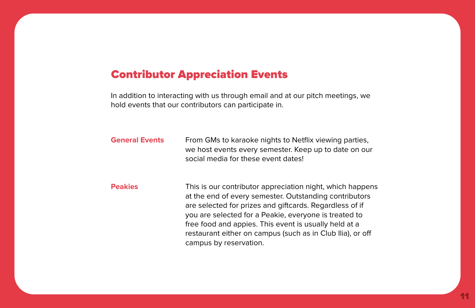### Contributor Appreciation Events

In addition to interacting with us through email and at our pitch meetings, we hold events that our contributors can participate in.

**General Events** From GMs to karaoke nights to Netflix viewing parties, we host events every semester. Keep up to date on our social media for these event dates!

**Peakies** This is our contributor appreciation night, which happens at the end of every semester. Outstanding contributors are selected for prizes and giftcards. Regardless of if you are selected for a Peakie, everyone is treated to free food and appies. This event is usually held at a restaurant either on campus (such as in Club Ilia), or off campus by reservation.